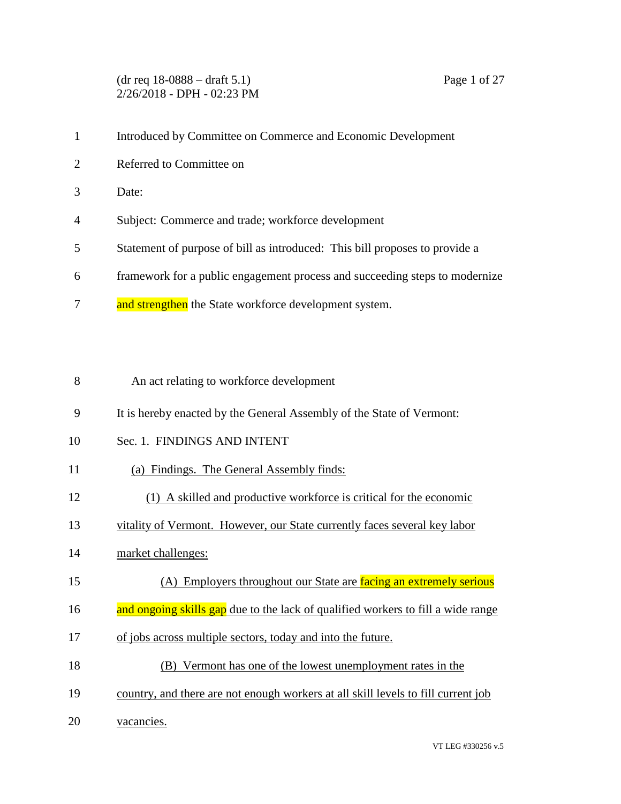(dr req 18-0888 – draft 5.1) Page 1 of 27 2/26/2018 - DPH - 02:23 PM

- Introduced by Committee on Commerce and Economic Development
- Referred to Committee on
- Date:
- Subject: Commerce and trade; workforce development
- Statement of purpose of bill as introduced: This bill proposes to provide a
- framework for a public engagement process and succeeding steps to modernize
- 7 and strengthen the State workforce development system.
- An act relating to workforce development
- It is hereby enacted by the General Assembly of the State of Vermont:
- Sec. 1. FINDINGS AND INTENT
- (a) Findings. The General Assembly finds:
- (1) A skilled and productive workforce is critical for the economic
- vitality of Vermont. However, our State currently faces several key labor
- market challenges:
- (A) Employers throughout our State are facing an extremely serious
- 16 and ongoing skills gap due to the lack of qualified workers to fill a wide range
- of jobs across multiple sectors, today and into the future.
- (B) Vermont has one of the lowest unemployment rates in the
- country, and there are not enough workers at all skill levels to fill current job
- vacancies.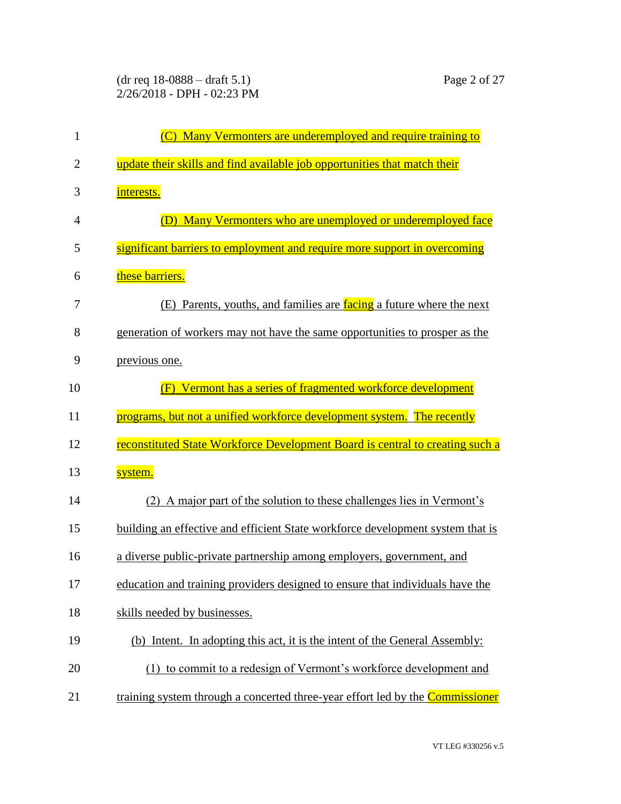(dr req 18-0888 – draft 5.1) Page 2 of 27 2/26/2018 - DPH - 02:23 PM

| 1              | (C) Many Vermonters are underemployed and require training to                  |
|----------------|--------------------------------------------------------------------------------|
| $\overline{c}$ | update their skills and find available job opportunities that match their      |
| 3              | interests.                                                                     |
| 4              | (D) Many Vermonters who are unemployed or underemployed face                   |
| 5              | significant barriers to employment and require more support in overcoming      |
| 6              | these barriers.                                                                |
| 7              | (E) Parents, youths, and families are facing a future where the next           |
| 8              | generation of workers may not have the same opportunities to prosper as the    |
| 9              | previous one.                                                                  |
| 10             | Vermont has a series of fragmented workforce development                       |
| 11             | programs, but not a unified workforce development system. The recently         |
| 12             | reconstituted State Workforce Development Board is central to creating such a  |
| 13             | system.                                                                        |
| 14             | (2) A major part of the solution to these challenges lies in Vermont's         |
| 15             | building an effective and efficient State workforce development system that is |
| 16             | a diverse public-private partnership among employers, government, and          |
| 17             | education and training providers designed to ensure that individuals have the  |
| 18             | skills needed by businesses.                                                   |
| 19             | (b) Intent. In adopting this act, it is the intent of the General Assembly:    |
| 20             | (1) to commit to a redesign of Vermont's workforce development and             |
| 21             | training system through a concerted three-year effort led by the Commissioner  |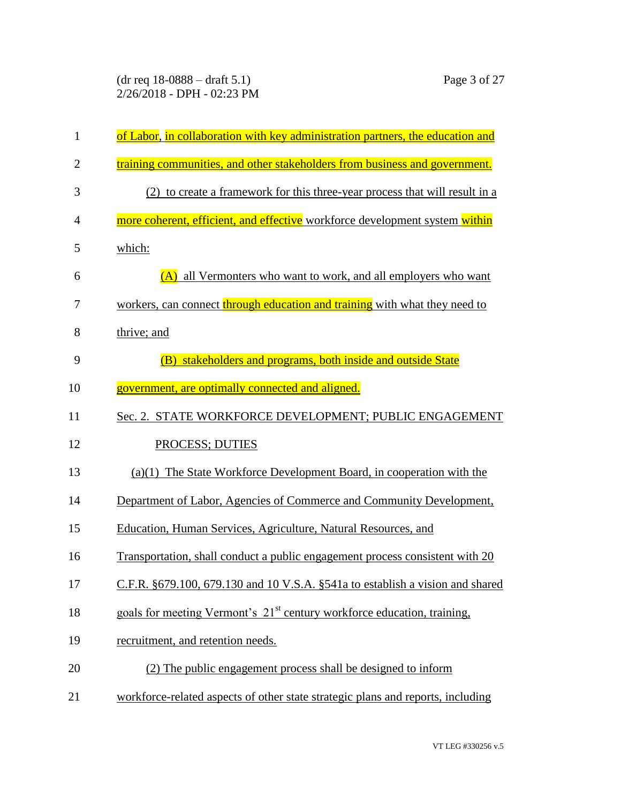(dr req 18-0888 – draft 5.1) Page 3 of 27 2/26/2018 - DPH - 02:23 PM

| 1              | of Labor, in collaboration with key administration partners, the education and      |
|----------------|-------------------------------------------------------------------------------------|
| $\overline{2}$ | training communities, and other stakeholders from business and government.          |
| 3              | (2) to create a framework for this three-year process that will result in a         |
| 4              | more coherent, efficient, and effective workforce development system within         |
| 5              | which:                                                                              |
| 6              | (A) all Vermonters who want to work, and all employers who want                     |
| 7              | workers, can connect through education and training with what they need to          |
| 8              | thrive; and                                                                         |
| 9              | (B) stakeholders and programs, both inside and outside State                        |
| 10             | government, are optimally connected and aligned.                                    |
| 11             | Sec. 2. STATE WORKFORCE DEVELOPMENT; PUBLIC ENGAGEMENT                              |
| 12             | PROCESS; DUTIES                                                                     |
| 13             | $(a)(1)$ The State Workforce Development Board, in cooperation with the             |
| 14             | Department of Labor, Agencies of Commerce and Community Development,                |
| 15             | Education, Human Services, Agriculture, Natural Resources, and                      |
| 16             | Transportation, shall conduct a public engagement process consistent with 20        |
| 17             | C.F.R. §679.100, 679.130 and 10 V.S.A. §541a to establish a vision and shared       |
| 18             | goals for meeting Vermont's 21 <sup>st</sup> century workforce education, training, |
| 19             | recruitment, and retention needs.                                                   |
| 20             | (2) The public engagement process shall be designed to inform                       |
| 21             | workforce-related aspects of other state strategic plans and reports, including     |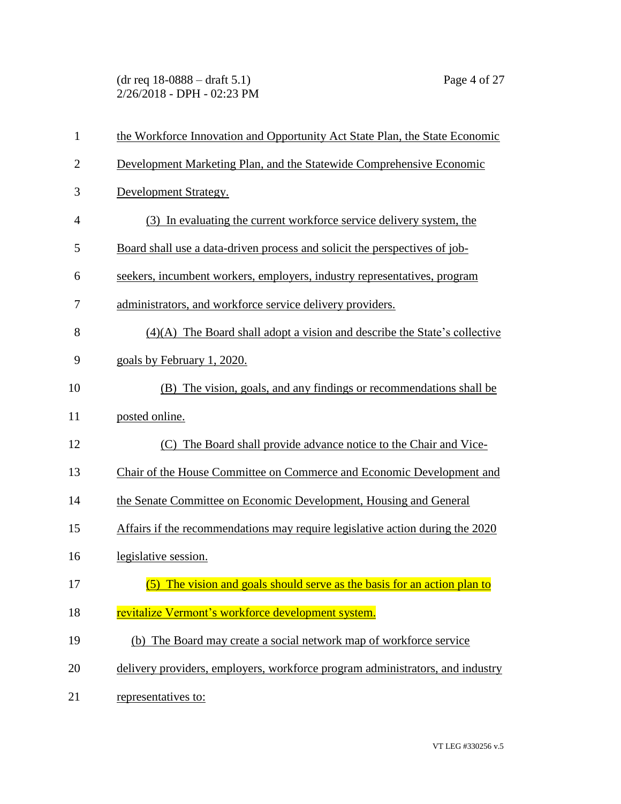(dr req 18-0888 – draft 5.1) Page 4 of 27 2/26/2018 - DPH - 02:23 PM

| $\mathbf{1}$   | the Workforce Innovation and Opportunity Act State Plan, the State Economic   |
|----------------|-------------------------------------------------------------------------------|
| $\overline{2}$ | Development Marketing Plan, and the Statewide Comprehensive Economic          |
| 3              | Development Strategy.                                                         |
| $\overline{4}$ | (3) In evaluating the current workforce service delivery system, the          |
| 5              | Board shall use a data-driven process and solicit the perspectives of job-    |
| 6              | seekers, incumbent workers, employers, industry representatives, program      |
| 7              | administrators, and workforce service delivery providers.                     |
| 8              | $(4)(A)$ The Board shall adopt a vision and describe the State's collective   |
| 9              | goals by February 1, 2020.                                                    |
| 10             | (B) The vision, goals, and any findings or recommendations shall be           |
| 11             | posted online.                                                                |
| 12             | The Board shall provide advance notice to the Chair and Vice-<br>(C)          |
| 13             | Chair of the House Committee on Commerce and Economic Development and         |
| 14             | the Senate Committee on Economic Development, Housing and General             |
| 15             | Affairs if the recommendations may require legislative action during the 2020 |
| 16             | legislative session.                                                          |
| 17             | (5) The vision and goals should serve as the basis for an action plan to      |
| 18             | revitalize Vermont's workforce development system.                            |
| 19             | (b) The Board may create a social network map of workforce service            |
| 20             | delivery providers, employers, workforce program administrators, and industry |
| 21             | representatives to:                                                           |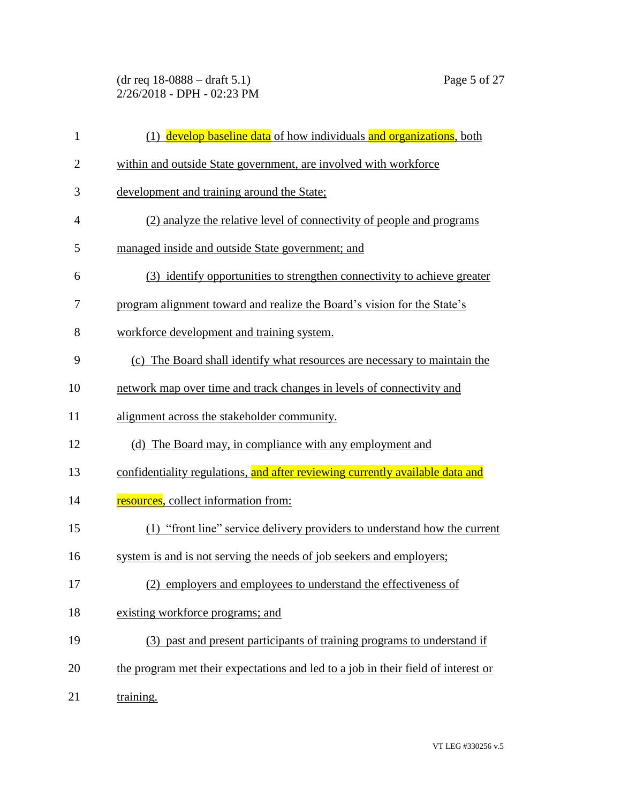(dr req 18-0888 – draft 5.1) Page 5 of 27 2/26/2018 - DPH - 02:23 PM

| $\mathbf{1}$   | (1) develop baseline data of how individuals and organizations, both              |
|----------------|-----------------------------------------------------------------------------------|
| $\overline{2}$ | within and outside State government, are involved with workforce                  |
| 3              | development and training around the State;                                        |
| 4              | (2) analyze the relative level of connectivity of people and programs             |
| 5              | managed inside and outside State government; and                                  |
| 6              | (3) identify opportunities to strengthen connectivity to achieve greater          |
| 7              | program alignment toward and realize the Board's vision for the State's           |
| 8              | workforce development and training system.                                        |
| 9              | (c) The Board shall identify what resources are necessary to maintain the         |
| 10             | network map over time and track changes in levels of connectivity and             |
| 11             | alignment across the stakeholder community.                                       |
| 12             | (d) The Board may, in compliance with any employment and                          |
| 13             | confidentiality regulations, and after reviewing currently available data and     |
| 14             | resources, collect information from:                                              |
| 15             | (1) "front line" service delivery providers to understand how the current         |
| 16             | system is and is not serving the needs of job seekers and employers;              |
| 17             | (2) employers and employees to understand the effectiveness of                    |
| 18             | existing workforce programs; and                                                  |
| 19             | (3) past and present participants of training programs to understand if           |
| 20             | the program met their expectations and led to a job in their field of interest or |
| 21             | training.                                                                         |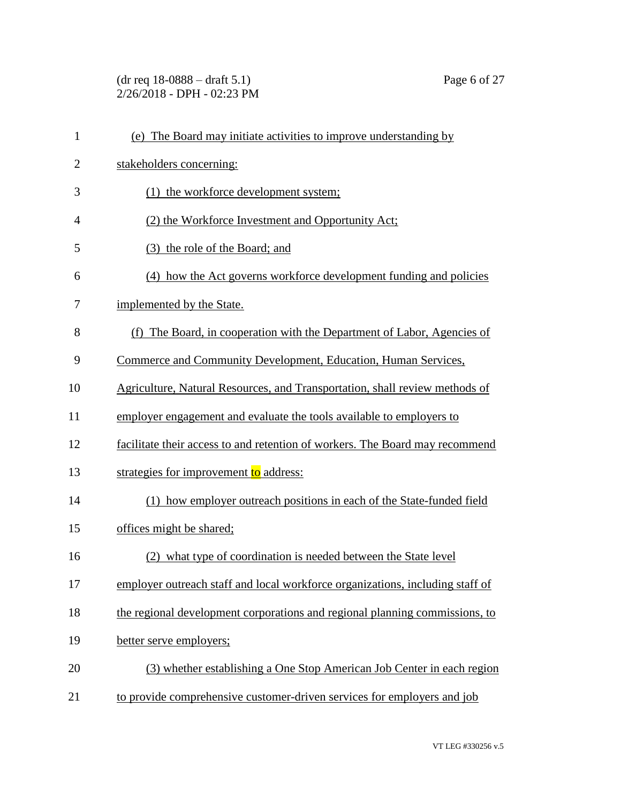(dr req 18-0888 – draft 5.1) Page 6 of 27 2/26/2018 - DPH - 02:23 PM

| $\mathbf{1}$   | (e) The Board may initiate activities to improve understanding by             |
|----------------|-------------------------------------------------------------------------------|
| $\overline{2}$ | stakeholders concerning:                                                      |
| 3              | (1) the workforce development system;                                         |
| 4              | (2) the Workforce Investment and Opportunity Act;                             |
| 5              | (3) the role of the Board; and                                                |
| 6              | (4) how the Act governs workforce development funding and policies            |
| 7              | implemented by the State.                                                     |
| 8              | (f) The Board, in cooperation with the Department of Labor, Agencies of       |
| 9              | Commerce and Community Development, Education, Human Services,                |
| 10             | Agriculture, Natural Resources, and Transportation, shall review methods of   |
| 11             | employer engagement and evaluate the tools available to employers to          |
| 12             | facilitate their access to and retention of workers. The Board may recommend  |
| 13             | strategies for improvement to address:                                        |
| 14             | (1) how employer outreach positions in each of the State-funded field         |
| 15             | offices might be shared;                                                      |
| 16             | (2) what type of coordination is needed between the State level               |
| 17             | employer outreach staff and local workforce organizations, including staff of |
| 18             | the regional development corporations and regional planning commissions, to   |
| 19             | better serve employers;                                                       |
| 20             | (3) whether establishing a One Stop American Job Center in each region        |
| 21             | to provide comprehensive customer-driven services for employers and job       |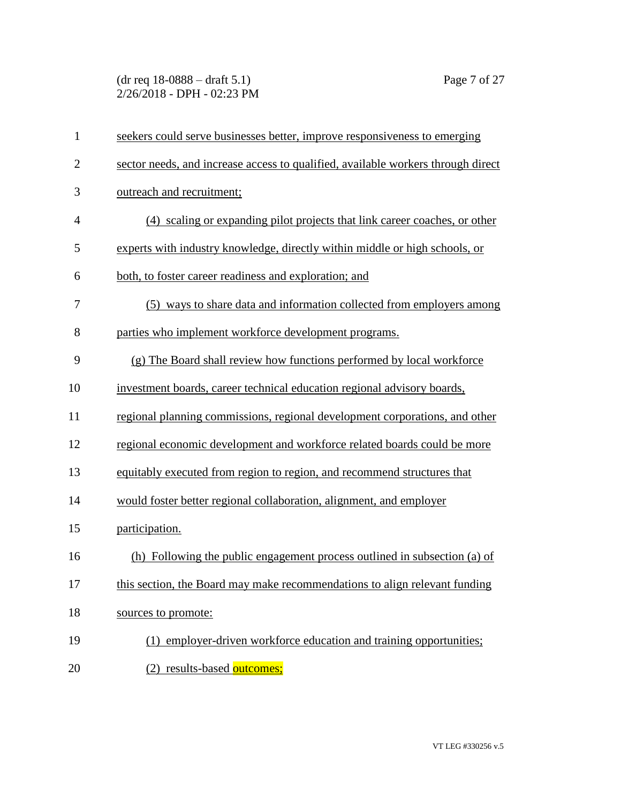(dr req 18-0888 – draft 5.1) Page 7 of 27 2/26/2018 - DPH - 02:23 PM

| $\mathbf{1}$   | seekers could serve businesses better, improve responsiveness to emerging        |
|----------------|----------------------------------------------------------------------------------|
| $\overline{2}$ | sector needs, and increase access to qualified, available workers through direct |
| 3              | outreach and recruitment;                                                        |
| $\overline{4}$ | (4) scaling or expanding pilot projects that link career coaches, or other       |
| 5              | experts with industry knowledge, directly within middle or high schools, or      |
| 6              | both, to foster career readiness and exploration; and                            |
| 7              | (5) ways to share data and information collected from employers among            |
| 8              | parties who implement workforce development programs.                            |
| 9              | (g) The Board shall review how functions performed by local workforce            |
| 10             | investment boards, career technical education regional advisory boards,          |
| 11             | regional planning commissions, regional development corporations, and other      |
| 12             | regional economic development and workforce related boards could be more         |
| 13             | equitably executed from region to region, and recommend structures that          |
| 14             | would foster better regional collaboration, alignment, and employer              |
| 15             | participation.                                                                   |
| 16             | (h) Following the public engagement process outlined in subsection (a) of        |
| 17             | this section, the Board may make recommendations to align relevant funding       |
| 18             | sources to promote:                                                              |
| 19             | (1) employer-driven workforce education and training opportunities;              |
| 20             | (2) results-based outcomes;                                                      |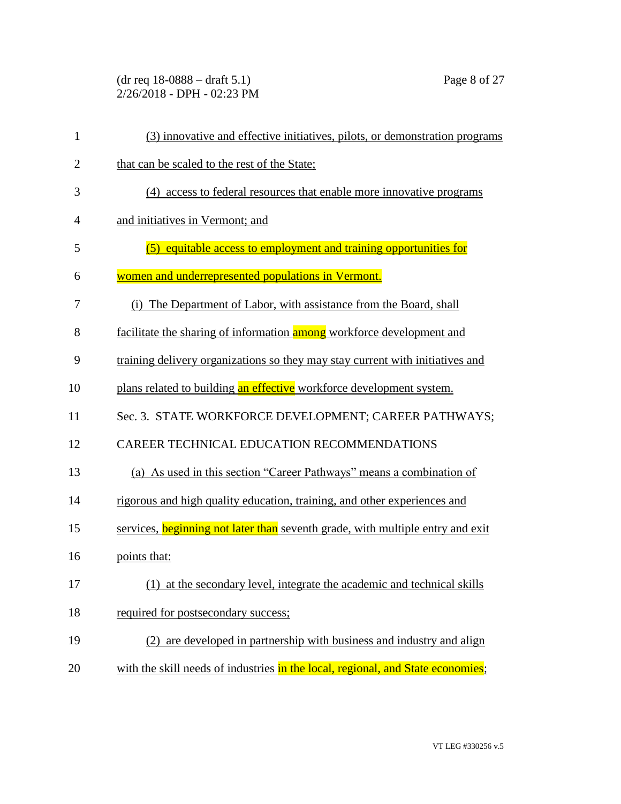(dr req 18-0888 – draft 5.1) Page 8 of 27 2/26/2018 - DPH - 02:23 PM

| $\mathbf{1}$   | (3) innovative and effective initiatives, pilots, or demonstration programs     |
|----------------|---------------------------------------------------------------------------------|
| $\overline{2}$ | that can be scaled to the rest of the State;                                    |
| 3              | (4) access to federal resources that enable more innovative programs            |
| $\overline{4}$ | and initiatives in Vermont; and                                                 |
| 5              | (5) equitable access to employment and training opportunities for               |
| 6              | women and underrepresented populations in Vermont.                              |
| 7              | (i) The Department of Labor, with assistance from the Board, shall              |
| 8              | facilitate the sharing of information among workforce development and           |
| 9              | training delivery organizations so they may stay current with initiatives and   |
| 10             | plans related to building an effective workforce development system.            |
| 11             | Sec. 3. STATE WORKFORCE DEVELOPMENT; CAREER PATHWAYS;                           |
| 12             | CAREER TECHNICAL EDUCATION RECOMMENDATIONS                                      |
| 13             | (a) As used in this section "Career Pathways" means a combination of            |
| 14             | rigorous and high quality education, training, and other experiences and        |
| 15             | services, beginning not later than seventh grade, with multiple entry and exit  |
| 16             | points that:                                                                    |
| 17             | (1) at the secondary level, integrate the academic and technical skills         |
| 18             | required for postsecondary success;                                             |
| 19             | (2) are developed in partnership with business and industry and align           |
| 20             | with the skill needs of industries in the local, regional, and State economies; |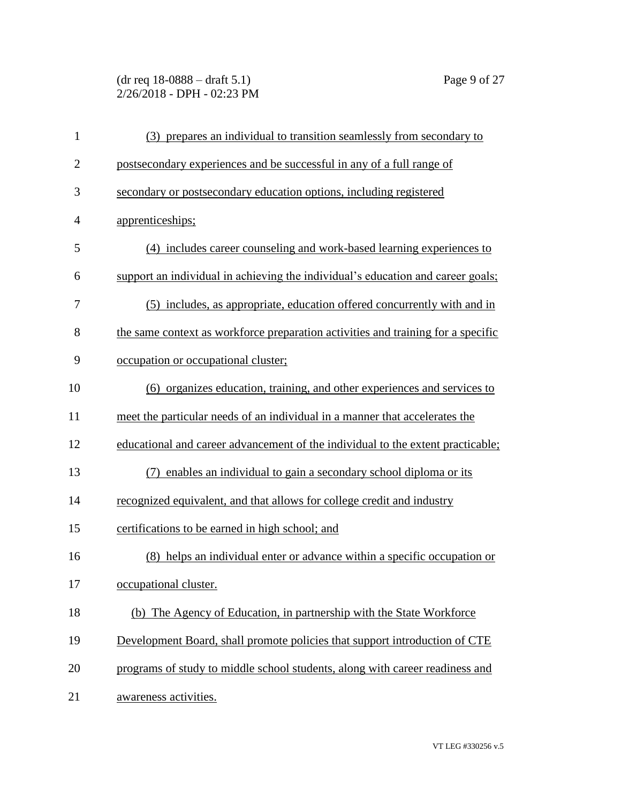(dr req 18-0888 – draft 5.1) Page 9 of 27 2/26/2018 - DPH - 02:23 PM

| $\mathbf{1}$   | (3) prepares an individual to transition seamlessly from secondary to            |
|----------------|----------------------------------------------------------------------------------|
| $\overline{2}$ | postsecondary experiences and be successful in any of a full range of            |
| 3              | secondary or postsecondary education options, including registered               |
| $\overline{4}$ | apprenticeships;                                                                 |
| 5              | (4) includes career counseling and work-based learning experiences to            |
| 6              | support an individual in achieving the individual's education and career goals;  |
| 7              | (5) includes, as appropriate, education offered concurrently with and in         |
| 8              | the same context as workforce preparation activities and training for a specific |
| 9              | occupation or occupational cluster;                                              |
| 10             | (6) organizes education, training, and other experiences and services to         |
| 11             | meet the particular needs of an individual in a manner that accelerates the      |
| 12             | educational and career advancement of the individual to the extent practicable;  |
| 13             | enables an individual to gain a secondary school diploma or its<br>(7)           |
| 14             | recognized equivalent, and that allows for college credit and industry           |
| 15             | certifications to be earned in high school; and                                  |
| 16             | (8) helps an individual enter or advance within a specific occupation or         |
| 17             | occupational cluster.                                                            |
| 18             | (b) The Agency of Education, in partnership with the State Workforce             |
| 19             | Development Board, shall promote policies that support introduction of CTE       |
| 20             | programs of study to middle school students, along with career readiness and     |
| 21             | awareness activities.                                                            |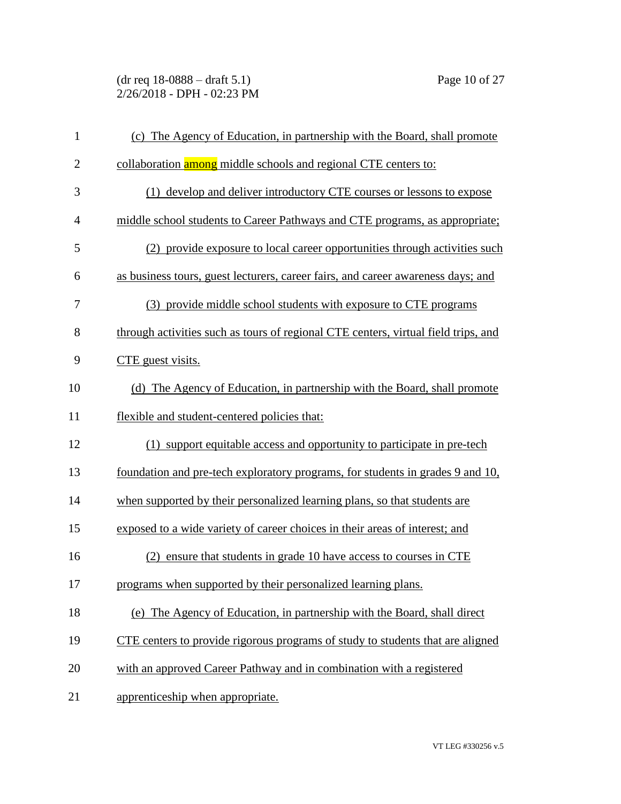(dr req 18-0888 – draft 5.1) Page 10 of 27 2/26/2018 - DPH - 02:23 PM

| $\mathbf{1}$   | (c) The Agency of Education, in partnership with the Board, shall promote             |
|----------------|---------------------------------------------------------------------------------------|
| $\overline{2}$ | collaboration among middle schools and regional CTE centers to:                       |
| 3              | (1) develop and deliver introductory CTE courses or lessons to expose                 |
| $\overline{4}$ | middle school students to Career Pathways and CTE programs, as appropriate;           |
| 5              | (2) provide exposure to local career opportunities through activities such            |
| 6              | as business tours, guest lecturers, career fairs, and career awareness days; and      |
| 7              | (3) provide middle school students with exposure to CTE programs                      |
| 8              | through activities such as tours of regional CTE centers, virtual field trips, and    |
| 9              | CTE guest visits.                                                                     |
| 10             | (d) The Agency of Education, in partnership with the Board, shall promote             |
| 11             | flexible and student-centered policies that:                                          |
| 12             | (1) support equitable access and opportunity to participate in pre-tech               |
| 13             | foundation and pre-tech exploratory programs, for students in grades 9 and 10,        |
| 14             | when supported by their personalized learning plans, so that students are             |
| 15             | exposed to a wide variety of career choices in their areas of interest; and           |
| 16             | ensure that students in grade 10 have access to courses in CTE<br>(2)                 |
| 17             | programs when supported by their personalized learning plans.                         |
| 18             | (e) The Agency of Education, in partnership with the Board, shall direct              |
| 19             | <u>CTE centers to provide rigorous programs of study to students that are aligned</u> |
| 20             | with an approved Career Pathway and in combination with a registered                  |
| 21             | apprenticeship when appropriate.                                                      |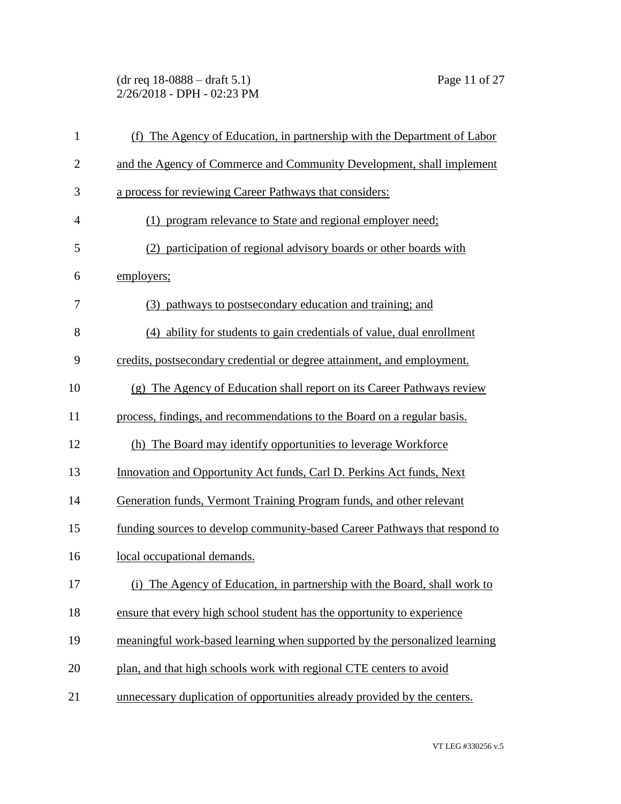(dr req 18-0888 – draft 5.1) Page 11 of 27 2/26/2018 - DPH - 02:23 PM

| $\mathbf{1}$   | (f) The Agency of Education, in partnership with the Department of Labor   |
|----------------|----------------------------------------------------------------------------|
| $\overline{2}$ | and the Agency of Commerce and Community Development, shall implement      |
| 3              | a process for reviewing Career Pathways that considers:                    |
| $\overline{4}$ | (1) program relevance to State and regional employer need;                 |
| 5              | (2) participation of regional advisory boards or other boards with         |
| 6              | employers;                                                                 |
| 7              | (3) pathways to postsecondary education and training; and                  |
| 8              | (4) ability for students to gain credentials of value, dual enrollment     |
| 9              | credits, postsecondary credential or degree attainment, and employment.    |
| 10             | (g) The Agency of Education shall report on its Career Pathways review     |
| 11             | process, findings, and recommendations to the Board on a regular basis.    |
| 12             | (h) The Board may identify opportunities to leverage Workforce             |
| 13             | Innovation and Opportunity Act funds, Carl D. Perkins Act funds, Next      |
| 14             | Generation funds, Vermont Training Program funds, and other relevant       |
| 15             | funding sources to develop community-based Career Pathways that respond to |
| 16             | local occupational demands.                                                |
| 17             | (i) The Agency of Education, in partnership with the Board, shall work to  |
| 18             | ensure that every high school student has the opportunity to experience    |
| 19             | meaningful work-based learning when supported by the personalized learning |
| 20             | plan, and that high schools work with regional CTE centers to avoid        |
| 21             | unnecessary duplication of opportunities already provided by the centers.  |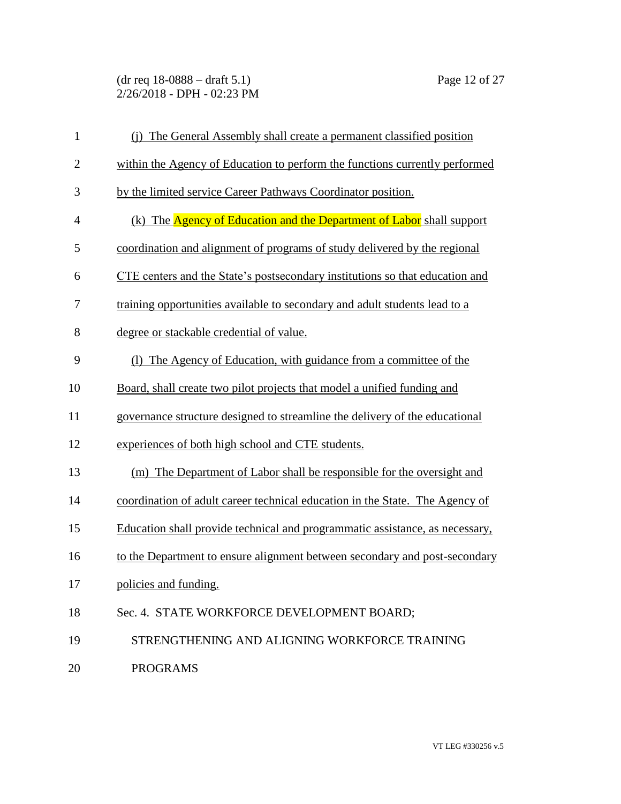(dr req 18-0888 – draft 5.1) Page 12 of 27 2/26/2018 - DPH - 02:23 PM

| $\mathbf{1}$   | (i) The General Assembly shall create a permanent classified position        |
|----------------|------------------------------------------------------------------------------|
| $\overline{2}$ | within the Agency of Education to perform the functions currently performed  |
| 3              | by the limited service Career Pathways Coordinator position.                 |
| 4              | (k) The Agency of Education and the Department of Labor shall support        |
| 5              | coordination and alignment of programs of study delivered by the regional    |
| 6              | CTE centers and the State's postsecondary institutions so that education and |
| 7              | training opportunities available to secondary and adult students lead to a   |
| 8              | degree or stackable credential of value.                                     |
| 9              | (1) The Agency of Education, with guidance from a committee of the           |
| 10             | Board, shall create two pilot projects that model a unified funding and      |
| 11             | governance structure designed to streamline the delivery of the educational  |
| 12             | experiences of both high school and CTE students.                            |
| 13             | (m) The Department of Labor shall be responsible for the oversight and       |
| 14             | coordination of adult career technical education in the State. The Agency of |
| 15             | Education shall provide technical and programmatic assistance, as necessary, |
| 16             | to the Department to ensure alignment between secondary and post-secondary   |
| 17             | policies and funding.                                                        |
| 18             | Sec. 4. STATE WORKFORCE DEVELOPMENT BOARD;                                   |
| 19             | STRENGTHENING AND ALIGNING WORKFORCE TRAINING                                |
| 20             | <b>PROGRAMS</b>                                                              |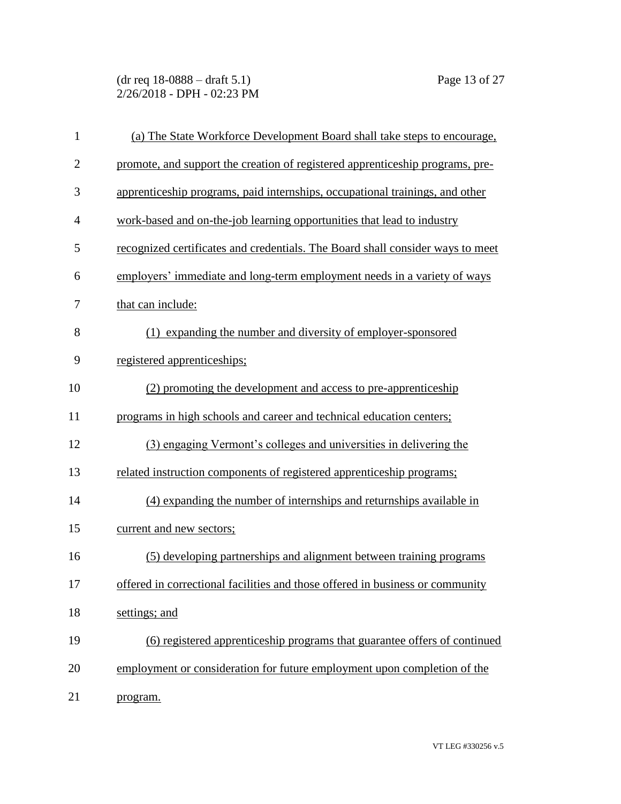(dr req 18-0888 – draft 5.1) Page 13 of 27 2/26/2018 - DPH - 02:23 PM

| $\mathbf{1}$   | (a) The State Workforce Development Board shall take steps to encourage,       |
|----------------|--------------------------------------------------------------------------------|
| $\overline{2}$ | promote, and support the creation of registered apprenticeship programs, pre-  |
| 3              | apprenticeship programs, paid internships, occupational trainings, and other   |
| $\overline{4}$ | work-based and on-the-job learning opportunities that lead to industry         |
| 5              | recognized certificates and credentials. The Board shall consider ways to meet |
| 6              | employers' immediate and long-term employment needs in a variety of ways       |
| 7              | that can include:                                                              |
| 8              | (1) expanding the number and diversity of employer-sponsored                   |
| 9              | registered apprenticeships;                                                    |
| 10             | (2) promoting the development and access to pre-apprenticeship                 |
| 11             | programs in high schools and career and technical education centers;           |
| 12             | (3) engaging Vermont's colleges and universities in delivering the             |
| 13             | related instruction components of registered apprenticeship programs;          |
| 14             | (4) expanding the number of internships and returnships available in           |
| 15             | current and new sectors;                                                       |
| 16             | (5) developing partnerships and alignment between training programs            |
| 17             | offered in correctional facilities and those offered in business or community  |
| 18             | settings; and                                                                  |
| 19             | (6) registered apprenticeship programs that guarantee offers of continued      |
| 20             | employment or consideration for future employment upon completion of the       |
| 21             | program.                                                                       |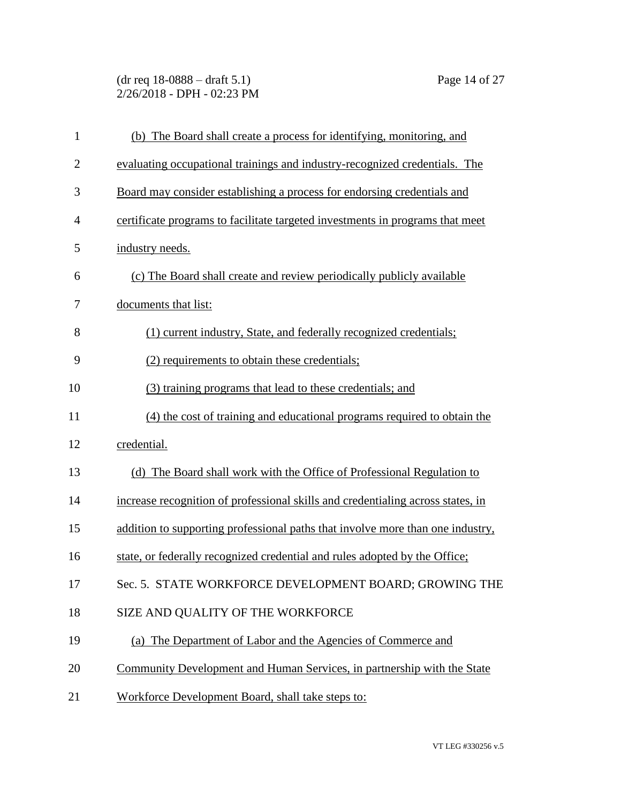(dr req 18-0888 – draft 5.1) Page 14 of 27 2/26/2018 - DPH - 02:23 PM

| $\mathbf{1}$   | (b) The Board shall create a process for identifying, monitoring, and           |
|----------------|---------------------------------------------------------------------------------|
| $\overline{2}$ | evaluating occupational trainings and industry-recognized credentials. The      |
| 3              | Board may consider establishing a process for endorsing credentials and         |
| 4              | certificate programs to facilitate targeted investments in programs that meet   |
| 5              | industry needs.                                                                 |
| 6              | (c) The Board shall create and review periodically publicly available           |
| 7              | documents that list:                                                            |
| 8              | (1) current industry, State, and federally recognized credentials;              |
| 9              | (2) requirements to obtain these credentials;                                   |
| 10             | (3) training programs that lead to these credentials; and                       |
| 11             | (4) the cost of training and educational programs required to obtain the        |
| 12             | credential.                                                                     |
| 13             | (d) The Board shall work with the Office of Professional Regulation to          |
| 14             | increase recognition of professional skills and credentialing across states, in |
| 15             | addition to supporting professional paths that involve more than one industry,  |
| 16             | state, or federally recognized credential and rules adopted by the Office;      |
| 17             | Sec. 5. STATE WORKFORCE DEVELOPMENT BOARD; GROWING THE                          |
| 18             | SIZE AND QUALITY OF THE WORKFORCE                                               |
| 19             | (a) The Department of Labor and the Agencies of Commerce and                    |
| 20             | Community Development and Human Services, in partnership with the State         |
| 21             | Workforce Development Board, shall take steps to:                               |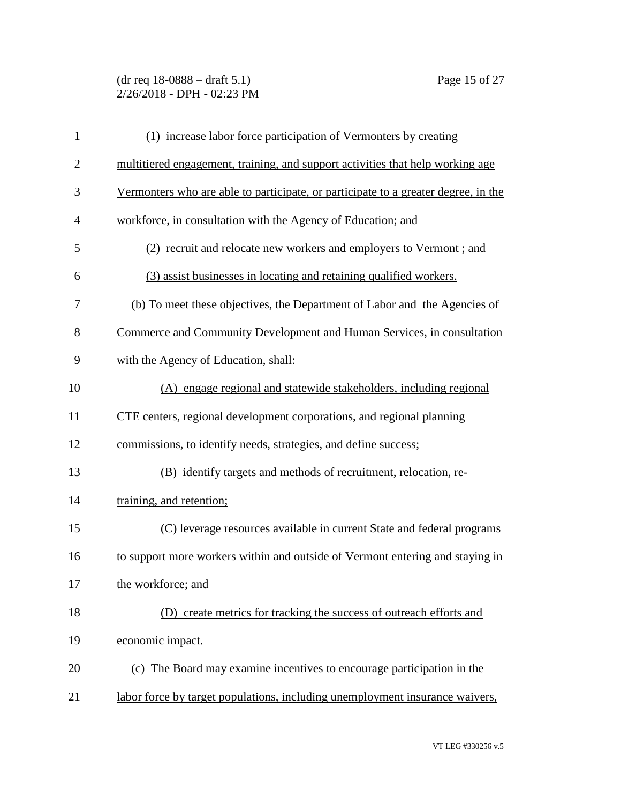(dr req 18-0888 – draft 5.1) Page 15 of 27 2/26/2018 - DPH - 02:23 PM

| $\mathbf{1}$   | (1) increase labor force participation of Vermonters by creating                   |
|----------------|------------------------------------------------------------------------------------|
| $\overline{2}$ | multitiered engagement, training, and support activities that help working age     |
| 3              | Vermonters who are able to participate, or participate to a greater degree, in the |
| $\overline{4}$ | workforce, in consultation with the Agency of Education; and                       |
| 5              | (2) recruit and relocate new workers and employers to Vermont; and                 |
| 6              | (3) assist businesses in locating and retaining qualified workers.                 |
| 7              | (b) To meet these objectives, the Department of Labor and the Agencies of          |
| 8              | Commerce and Community Development and Human Services, in consultation             |
| 9              | with the Agency of Education, shall:                                               |
| 10             | (A) engage regional and statewide stakeholders, including regional                 |
| 11             | CTE centers, regional development corporations, and regional planning              |
| 12             | commissions, to identify needs, strategies, and define success;                    |
| 13             | (B) identify targets and methods of recruitment, relocation, re-                   |
| 14             | training, and retention;                                                           |
| 15             | (C) leverage resources available in current State and federal programs             |
| 16             | to support more workers within and outside of Vermont entering and staying in      |
| 17             | the workforce; and                                                                 |
| 18             | (D) create metrics for tracking the success of outreach efforts and                |
| 19             | economic impact.                                                                   |
| 20             | (c) The Board may examine incentives to encourage participation in the             |
| 21             | labor force by target populations, including unemployment insurance waivers,       |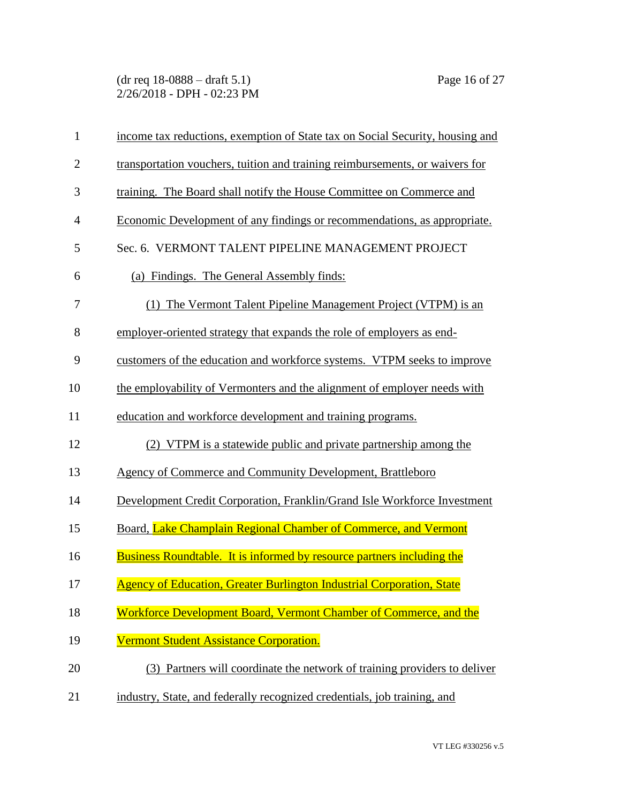(dr req 18-0888 – draft 5.1) Page 16 of 27 2/26/2018 - DPH - 02:23 PM

| $\mathbf{1}$   | income tax reductions, exemption of State tax on Social Security, housing and |
|----------------|-------------------------------------------------------------------------------|
| $\overline{2}$ | transportation vouchers, tuition and training reimbursements, or waivers for  |
| 3              | training. The Board shall notify the House Committee on Commerce and          |
| $\overline{4}$ | Economic Development of any findings or recommendations, as appropriate.      |
| 5              | Sec. 6. VERMONT TALENT PIPELINE MANAGEMENT PROJECT                            |
| 6              | (a) Findings. The General Assembly finds:                                     |
| $\tau$         | (1) The Vermont Talent Pipeline Management Project (VTPM) is an               |
| 8              | employer-oriented strategy that expands the role of employers as end-         |
| 9              | customers of the education and workforce systems. VTPM seeks to improve       |
| 10             | the employability of Vermonters and the alignment of employer needs with      |
| 11             | education and workforce development and training programs.                    |
| 12             | (2) VTPM is a statewide public and private partnership among the              |
| 13             | Agency of Commerce and Community Development, Brattleboro                     |
| 14             | Development Credit Corporation, Franklin/Grand Isle Workforce Investment      |
| 15             | Board, Lake Champlain Regional Chamber of Commerce, and Vermont               |
| 16             | Business Roundtable. It is informed by resource partners including the        |
| 17             | <b>Agency of Education, Greater Burlington Industrial Corporation, State</b>  |
| 18             | Workforce Development Board, Vermont Chamber of Commerce, and the             |
| 19             | Vermont Student Assistance Corporation.                                       |
| 20             | (3) Partners will coordinate the network of training providers to deliver     |
| 21             | industry, State, and federally recognized credentials, job training, and      |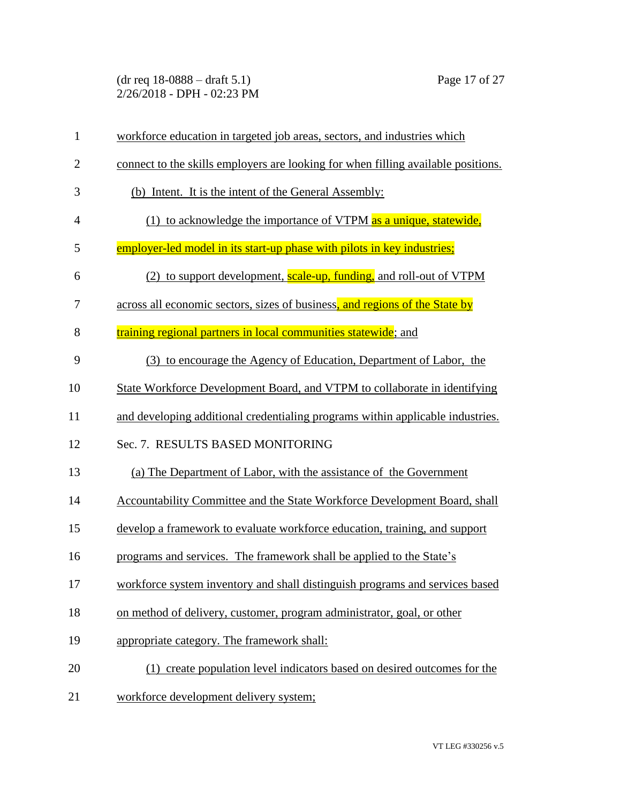(dr req 18-0888 – draft 5.1) Page 17 of 27 2/26/2018 - DPH - 02:23 PM

| $\mathbf{1}$   | workforce education in targeted job areas, sectors, and industries which          |
|----------------|-----------------------------------------------------------------------------------|
| $\overline{2}$ | connect to the skills employers are looking for when filling available positions. |
| 3              | (b) Intent. It is the intent of the General Assembly:                             |
| $\overline{4}$ | (1) to acknowledge the importance of VTPM as a unique, statewide,                 |
| 5              | employer-led model in its start-up phase with pilots in key industries;           |
| 6              | (2) to support development, scale-up, funding, and roll-out of VTPM               |
| 7              | across all economic sectors, sizes of business, and regions of the State by       |
| 8              | training regional partners in local communities statewide; and                    |
| 9              | (3) to encourage the Agency of Education, Department of Labor, the                |
| 10             | State Workforce Development Board, and VTPM to collaborate in identifying         |
| 11             | and developing additional credentialing programs within applicable industries.    |
| 12             | Sec. 7. RESULTS BASED MONITORING                                                  |
| 13             | (a) The Department of Labor, with the assistance of the Government                |
| 14             | Accountability Committee and the State Workforce Development Board, shall         |
| 15             | develop a framework to evaluate workforce education, training, and support        |
| 16             | programs and services. The framework shall be applied to the State's              |
| 17             | workforce system inventory and shall distinguish programs and services based      |
| 18             | on method of delivery, customer, program administrator, goal, or other            |
| 19             | appropriate category. The framework shall:                                        |
| 20             | (1) create population level indicators based on desired outcomes for the          |
| 21             | workforce development delivery system;                                            |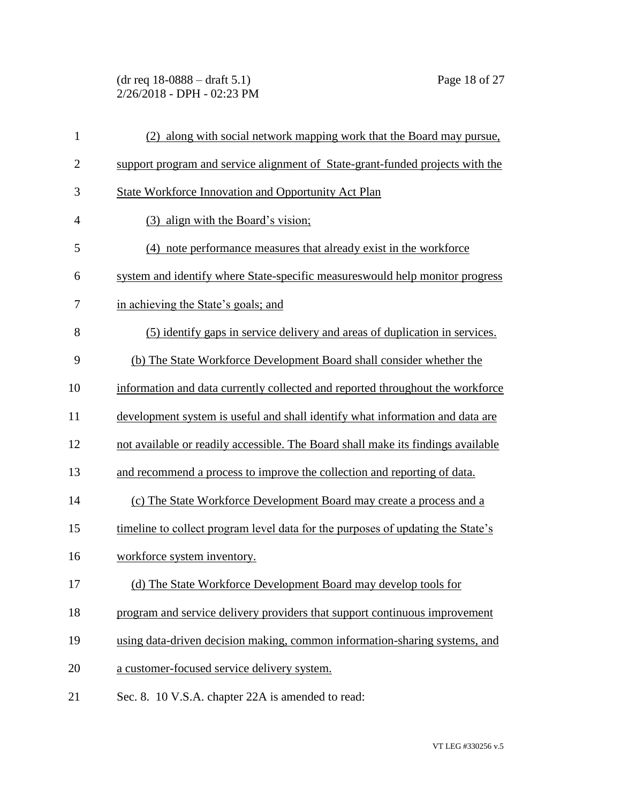(dr req 18-0888 – draft 5.1) Page 18 of 27 2/26/2018 - DPH - 02:23 PM

| $\mathbf{1}$   | (2) along with social network mapping work that the Board may pursue,            |
|----------------|----------------------------------------------------------------------------------|
| $\overline{2}$ | support program and service alignment of State-grant-funded projects with the    |
| 3              | State Workforce Innovation and Opportunity Act Plan                              |
| $\overline{4}$ | (3) align with the Board's vision;                                               |
| 5              | (4) note performance measures that already exist in the workforce                |
| 6              | system and identify where State-specific measures would help monitor progress    |
| 7              | in achieving the State's goals; and                                              |
| 8              | (5) identify gaps in service delivery and areas of duplication in services.      |
| 9              | (b) The State Workforce Development Board shall consider whether the             |
| 10             | information and data currently collected and reported throughout the workforce   |
| 11             | development system is useful and shall identify what information and data are    |
| 12             | not available or readily accessible. The Board shall make its findings available |
| 13             | and recommend a process to improve the collection and reporting of data.         |
| 14             | (c) The State Workforce Development Board may create a process and a             |
| 15             | timeline to collect program level data for the purposes of updating the State's  |
| 16             | workforce system inventory.                                                      |
| 17             | (d) The State Workforce Development Board may develop tools for                  |
| 18             | program and service delivery providers that support continuous improvement       |
| 19             | using data-driven decision making, common information-sharing systems, and       |
| 20             | a customer-focused service delivery system.                                      |
| 21             | Sec. 8. 10 V.S.A. chapter 22A is amended to read:                                |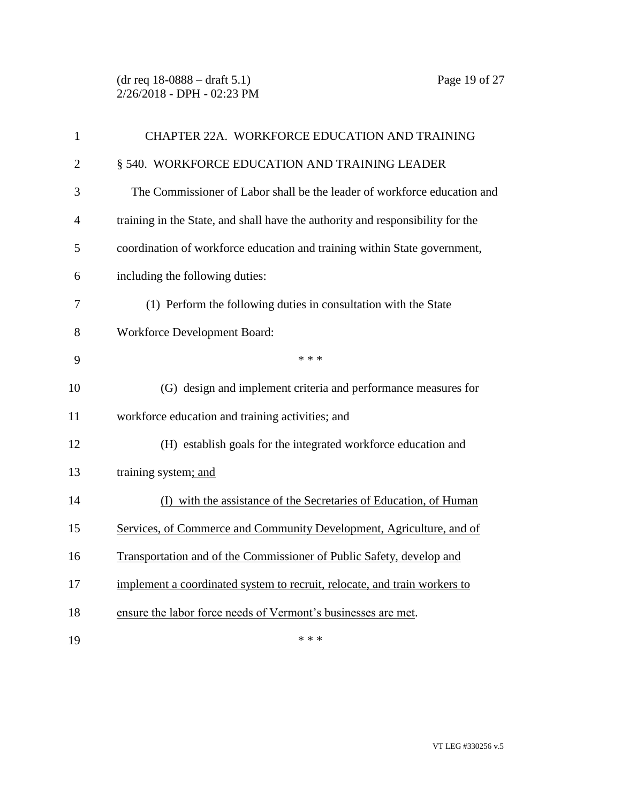(dr req 18-0888 – draft 5.1) Page 19 of 27 2/26/2018 - DPH - 02:23 PM

| $\mathbf{1}$   | CHAPTER 22A. WORKFORCE EDUCATION AND TRAINING                                  |
|----------------|--------------------------------------------------------------------------------|
| $\overline{2}$ | § 540. WORKFORCE EDUCATION AND TRAINING LEADER                                 |
| 3              | The Commissioner of Labor shall be the leader of workforce education and       |
| 4              | training in the State, and shall have the authority and responsibility for the |
| 5              | coordination of workforce education and training within State government,      |
| 6              | including the following duties:                                                |
| 7              | (1) Perform the following duties in consultation with the State                |
| 8              | Workforce Development Board:                                                   |
| 9              | * * *                                                                          |
| 10             | (G) design and implement criteria and performance measures for                 |
| 11             | workforce education and training activities; and                               |
| 12             | (H) establish goals for the integrated workforce education and                 |
| 13             | training system; and                                                           |
| 14             | (I) with the assistance of the Secretaries of Education, of Human              |
| 15             | Services, of Commerce and Community Development, Agriculture, and of           |
| 16             | Transportation and of the Commissioner of Public Safety, develop and           |
| 17             | implement a coordinated system to recruit, relocate, and train workers to      |
| 18             | ensure the labor force needs of Vermont's businesses are met.                  |
| 19             | * * *                                                                          |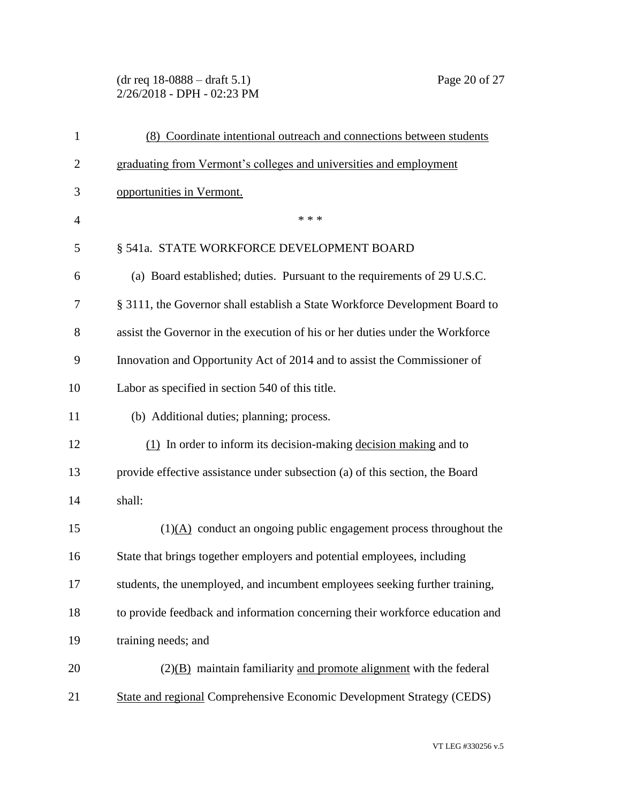(dr req 18-0888 – draft 5.1) Page 20 of 27 2/26/2018 - DPH - 02:23 PM

| $\mathbf{1}$   | (8) Coordinate intentional outreach and connections between students          |
|----------------|-------------------------------------------------------------------------------|
| $\overline{c}$ | graduating from Vermont's colleges and universities and employment            |
| 3              | opportunities in Vermont.                                                     |
| $\overline{4}$ | * * *                                                                         |
| 5              | § 541a. STATE WORKFORCE DEVELOPMENT BOARD                                     |
| 6              | (a) Board established; duties. Pursuant to the requirements of 29 U.S.C.      |
| 7              | § 3111, the Governor shall establish a State Workforce Development Board to   |
| 8              | assist the Governor in the execution of his or her duties under the Workforce |
| 9              | Innovation and Opportunity Act of 2014 and to assist the Commissioner of      |
| 10             | Labor as specified in section 540 of this title.                              |
| 11             | (b) Additional duties; planning; process.                                     |
| 12             | $(1)$ In order to inform its decision-making decision making and to           |
| 13             | provide effective assistance under subsection (a) of this section, the Board  |
| 14             | shall:                                                                        |
| 15             | $(1)$ (A) conduct an ongoing public engagement process throughout the         |
| 16             | State that brings together employers and potential employees, including       |
| 17             | students, the unemployed, and incumbent employees seeking further training,   |
| 18             | to provide feedback and information concerning their workforce education and  |
| 19             | training needs; and                                                           |
| 20             | $(2)(B)$ maintain familiarity and promote alignment with the federal          |
| 21             | State and regional Comprehensive Economic Development Strategy (CEDS)         |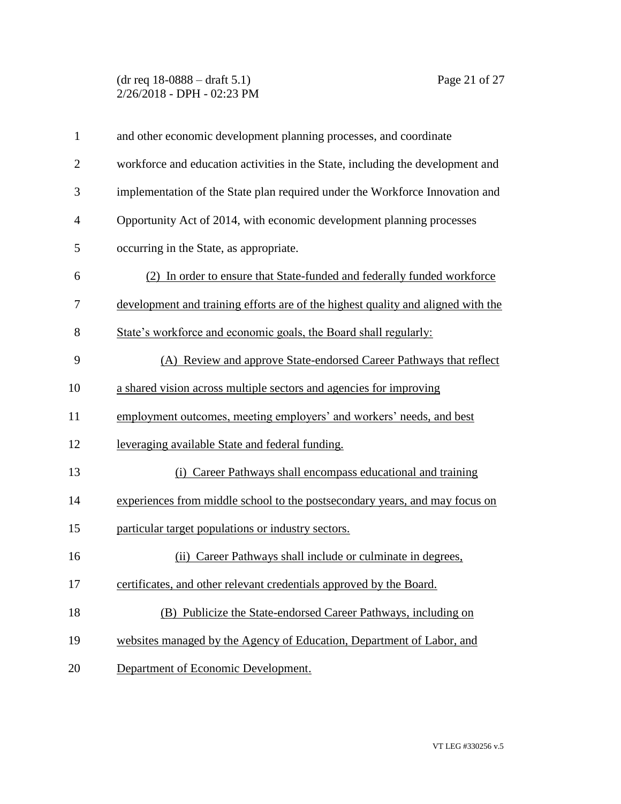(dr req 18-0888 – draft 5.1) Page 21 of 27 2/26/2018 - DPH - 02:23 PM

| $\mathbf{1}$   | and other economic development planning processes, and coordinate                |
|----------------|----------------------------------------------------------------------------------|
| $\overline{2}$ | workforce and education activities in the State, including the development and   |
| 3              | implementation of the State plan required under the Workforce Innovation and     |
| $\overline{4}$ | Opportunity Act of 2014, with economic development planning processes            |
| 5              | occurring in the State, as appropriate.                                          |
| 6              | (2) In order to ensure that State-funded and federally funded workforce          |
| 7              | development and training efforts are of the highest quality and aligned with the |
| 8              | State's workforce and economic goals, the Board shall regularly:                 |
| 9              | (A) Review and approve State-endorsed Career Pathways that reflect               |
| 10             | a shared vision across multiple sectors and agencies for improving               |
| 11             | employment outcomes, meeting employers' and workers' needs, and best             |
| 12             | leveraging available State and federal funding.                                  |
| 13             | Career Pathways shall encompass educational and training<br>(i)                  |
| 14             | experiences from middle school to the postsecondary years, and may focus on      |
| 15             | particular target populations or industry sectors.                               |
| 16             | (ii) Career Pathways shall include or culminate in degrees,                      |
| 17             | certificates, and other relevant credentials approved by the Board.              |
| 18             | (B) Publicize the State-endorsed Career Pathways, including on                   |
| 19             | websites managed by the Agency of Education, Department of Labor, and            |
| 20             | Department of Economic Development.                                              |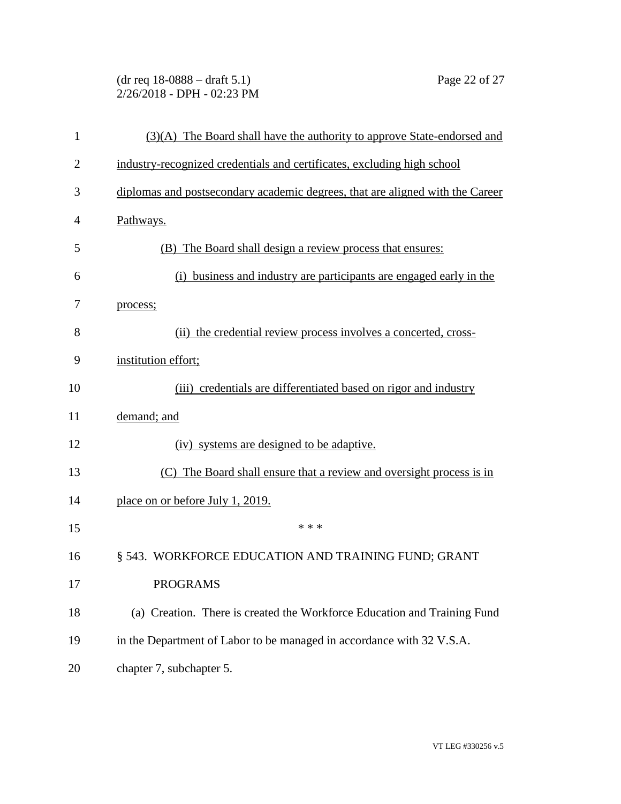(dr req 18-0888 – draft 5.1) Page 22 of 27 2/26/2018 - DPH - 02:23 PM

| $\mathbf{1}$   | (3)(A) The Board shall have the authority to approve State-endorsed and       |
|----------------|-------------------------------------------------------------------------------|
| $\overline{2}$ | industry-recognized credentials and certificates, excluding high school       |
| 3              | diplomas and postsecondary academic degrees, that are aligned with the Career |
| 4              | Pathways.                                                                     |
| 5              | (B) The Board shall design a review process that ensures:                     |
| 6              | (i) business and industry are participants are engaged early in the           |
| 7              | process;                                                                      |
| 8              | (ii) the credential review process involves a concerted, cross-               |
| 9              | institution effort;                                                           |
| 10             | (iii) credentials are differentiated based on rigor and industry              |
| 11             | demand; and                                                                   |
| 12             | (iv) systems are designed to be adaptive.                                     |
| 13             | (C) The Board shall ensure that a review and oversight process is in          |
| 14             | place on or before July 1, 2019.                                              |
| 15             | * * *                                                                         |
| 16             | § 543. WORKFORCE EDUCATION AND TRAINING FUND; GRANT                           |
| 17             | <b>PROGRAMS</b>                                                               |
| 18             | (a) Creation. There is created the Workforce Education and Training Fund      |
| 19             | in the Department of Labor to be managed in accordance with 32 V.S.A.         |
| 20             | chapter 7, subchapter 5.                                                      |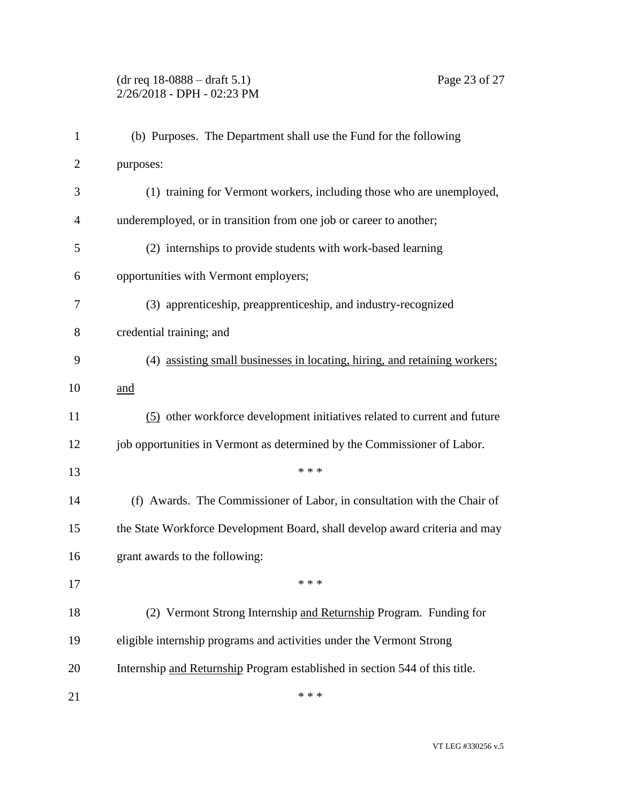## (dr req 18-0888 – draft 5.1) Page 23 of 27 2/26/2018 - DPH - 02:23 PM

| $\mathbf{1}$   | (b) Purposes. The Department shall use the Fund for the following           |
|----------------|-----------------------------------------------------------------------------|
| $\overline{2}$ | purposes:                                                                   |
| 3              | (1) training for Vermont workers, including those who are unemployed,       |
| 4              | underemployed, or in transition from one job or career to another;          |
| 5              | (2) internships to provide students with work-based learning                |
| 6              | opportunities with Vermont employers;                                       |
| 7              | (3) apprenticeship, preapprenticeship, and industry-recognized              |
| 8              | credential training; and                                                    |
| 9              | (4) assisting small businesses in locating, hiring, and retaining workers;  |
| 10             | and                                                                         |
| 11             | (5) other workforce development initiatives related to current and future   |
| 12             | job opportunities in Vermont as determined by the Commissioner of Labor.    |
| 13             | * * *                                                                       |
| 14             | (f) Awards. The Commissioner of Labor, in consultation with the Chair of    |
| 15             | the State Workforce Development Board, shall develop award criteria and may |
| 16             | grant awards to the following:                                              |
| 17             | $* * *$                                                                     |
| 18             | (2) Vermont Strong Internship and Returnship Program. Funding for           |
| 19             | eligible internship programs and activities under the Vermont Strong        |
| 20             | Internship and Returnship Program established in section 544 of this title. |
| 21             | * * *                                                                       |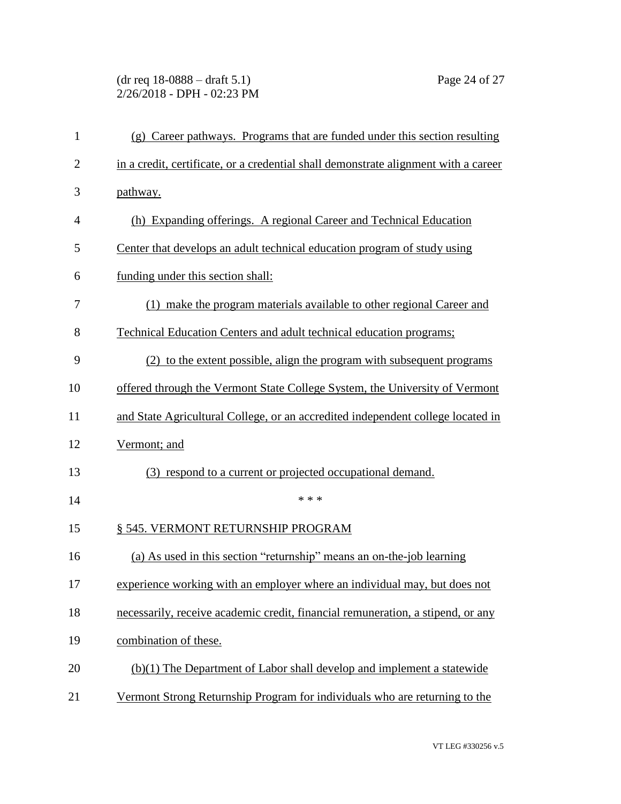## (dr req 18-0888 – draft 5.1) Page 24 of 27 2/26/2018 - DPH - 02:23 PM

| $\mathbf{1}$   | (g) Career pathways. Programs that are funded under this section resulting          |
|----------------|-------------------------------------------------------------------------------------|
| $\overline{2}$ | in a credit, certificate, or a credential shall demonstrate alignment with a career |
| 3              | pathway.                                                                            |
| $\overline{4}$ | (h) Expanding offerings. A regional Career and Technical Education                  |
| 5              | Center that develops an adult technical education program of study using            |
| 6              | funding under this section shall:                                                   |
| 7              | (1) make the program materials available to other regional Career and               |
| 8              | Technical Education Centers and adult technical education programs;                 |
| 9              | (2) to the extent possible, align the program with subsequent programs              |
| 10             | offered through the Vermont State College System, the University of Vermont         |
| 11             | and State Agricultural College, or an accredited independent college located in     |
| 12             | Vermont; and                                                                        |
| 13             | (3) respond to a current or projected occupational demand.                          |
| 14             | * * *                                                                               |
| 15             | § 545. VERMONT RETURNSHIP PROGRAM                                                   |
| 16             | (a) As used in this section "returnship" means an on-the-job learning               |
| 17             | experience working with an employer where an individual may, but does not           |
| 18             | necessarily, receive academic credit, financial remuneration, a stipend, or any     |
| 19             | combination of these.                                                               |
| 20             | (b)(1) The Department of Labor shall develop and implement a statewide              |
| 21             | Vermont Strong Returnship Program for individuals who are returning to the          |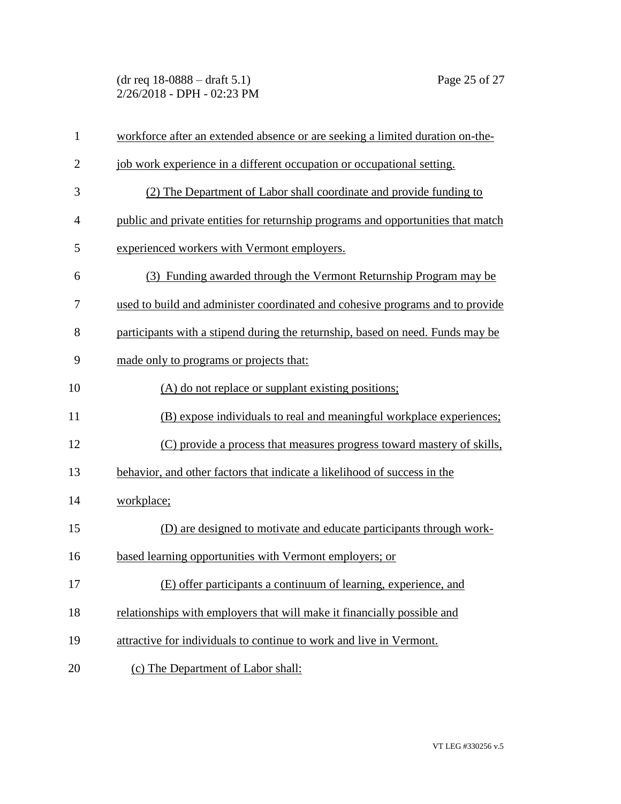(dr req 18-0888 – draft 5.1) Page 25 of 27 2/26/2018 - DPH - 02:23 PM

| $\mathbf{1}$   | workforce after an extended absence or are seeking a limited duration on-the-    |
|----------------|----------------------------------------------------------------------------------|
| $\overline{2}$ | job work experience in a different occupation or occupational setting.           |
| 3              | (2) The Department of Labor shall coordinate and provide funding to              |
| $\overline{4}$ | public and private entities for returnship programs and opportunities that match |
| 5              | experienced workers with Vermont employers.                                      |
| 6              | (3) Funding awarded through the Vermont Returnship Program may be                |
| 7              | used to build and administer coordinated and cohesive programs and to provide    |
| 8              | participants with a stipend during the returnship, based on need. Funds may be   |
| 9              | made only to programs or projects that:                                          |
| 10             | (A) do not replace or supplant existing positions;                               |
| 11             | (B) expose individuals to real and meaningful workplace experiences;             |
| 12             | (C) provide a process that measures progress toward mastery of skills,           |
| 13             | behavior, and other factors that indicate a likelihood of success in the         |
| 14             | workplace;                                                                       |
| 15             | (D) are designed to motivate and educate participants through work-              |
| 16             | based learning opportunities with Vermont employers; or                          |
| 17             | (E) offer participants a continuum of learning, experience, and                  |
| 18             | relationships with employers that will make it financially possible and          |
| 19             | attractive for individuals to continue to work and live in Vermont.              |
| 20             | (c) The Department of Labor shall:                                               |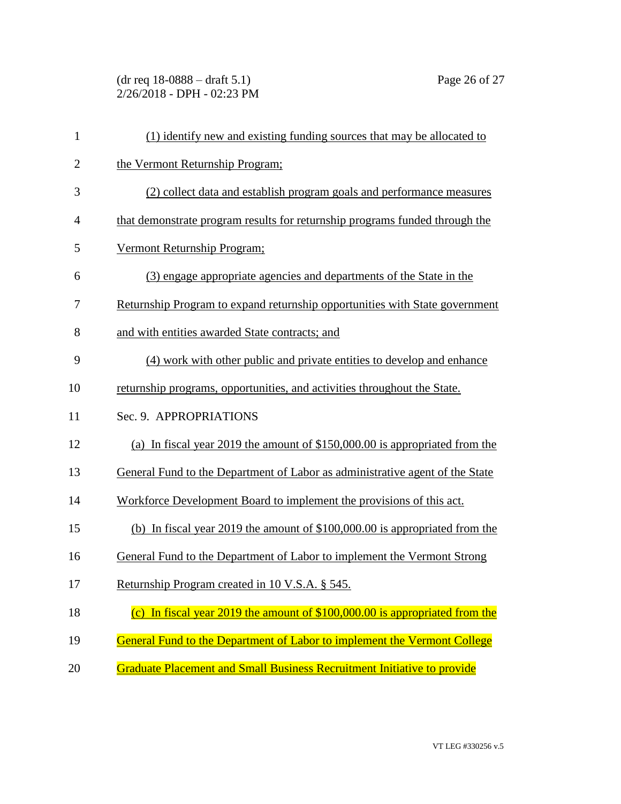(dr req 18-0888 – draft 5.1) Page 26 of 27 2/26/2018 - DPH - 02:23 PM

| $\mathbf{1}$ | (1) identify new and existing funding sources that may be allocated to       |
|--------------|------------------------------------------------------------------------------|
| $\mathbf{2}$ | the Vermont Returnship Program;                                              |
| 3            | (2) collect data and establish program goals and performance measures        |
| 4            | that demonstrate program results for returnship programs funded through the  |
| 5            | Vermont Returnship Program;                                                  |
| 6            | (3) engage appropriate agencies and departments of the State in the          |
| 7            | Returnship Program to expand returnship opportunities with State government  |
| 8            | and with entities awarded State contracts; and                               |
| 9            | (4) work with other public and private entities to develop and enhance       |
| 10           | returnship programs, opportunities, and activities throughout the State.     |
| 11           | Sec. 9. APPROPRIATIONS                                                       |
| 12           | (a) In fiscal year 2019 the amount of \$150,000.00 is appropriated from the  |
| 13           | General Fund to the Department of Labor as administrative agent of the State |
| 14           | Workforce Development Board to implement the provisions of this act.         |
| 15           | (b) In fiscal year 2019 the amount of $$100,000.00$ is appropriated from the |
| 16           | General Fund to the Department of Labor to implement the Vermont Strong      |
| 17           | Returnship Program created in 10 V.S.A. § 545.                               |
| 18           | (c) In fiscal year 2019 the amount of $$100,000.00$ is appropriated from the |
| 19           | General Fund to the Department of Labor to implement the Vermont College     |
| 20           | Graduate Placement and Small Business Recruitment Initiative to provide      |